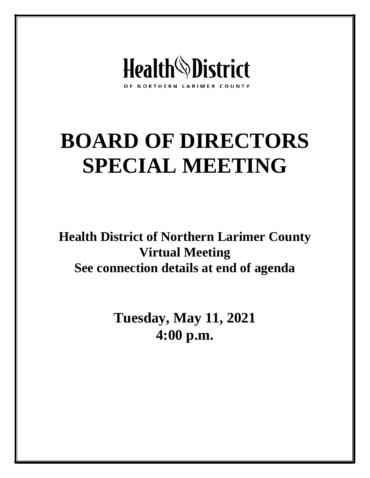

# **BOARD OF DIRECTORS SPECIAL MEETING**

**Health District of Northern Larimer County Virtual Meeting See connection details at end of agenda**

> **Tuesday, May 11, 2021 4:00 p.m.**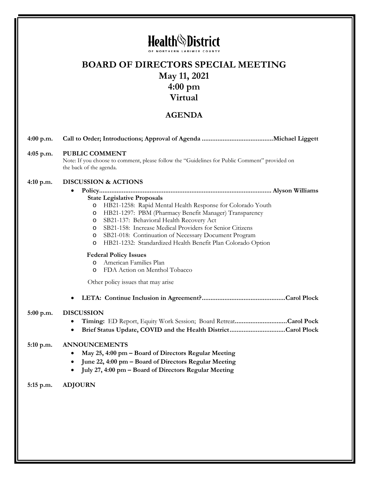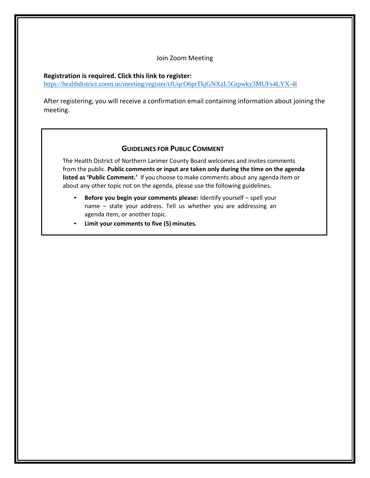#### Join Zoom Meeting

#### **Registration is required. Click this link to register:**

<https://healthdistrict.zoom.us/meeting/register/tJUqcO6prTkjGNXzL5Gtpwky3MUFs4LYX-4l>

After registering, you will receive a confirmation email containing information about joining the meeting.

#### **GUIDELINES FOR PUBLIC COMMENT**

The Health District of Northern Larimer County Board welcomes and invites comments from the public. **Public comments or input are taken only during the time on the agenda listed as 'Public Comment.'** If you choose to make comments about any agenda item or about any other topic not on the agenda, please use the following guidelines.

- **Before you begin your comments please:** Identify yourself spell your name – state your address. Tell us whether you are addressing an agenda item, or another topic.
- **Limit your comments to five (5) minutes.**